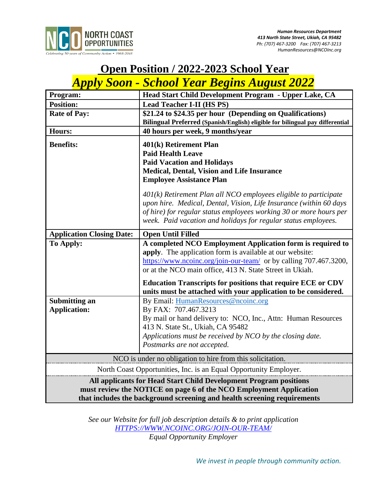

# **Open Position / 2022-2023 School Year**

## *Apply Soon - School Year Begins August 2022*

| Program:                                                                 | Head Start Child Development Program - Upper Lake, CA                                                                                                                                                                                                                            |
|--------------------------------------------------------------------------|----------------------------------------------------------------------------------------------------------------------------------------------------------------------------------------------------------------------------------------------------------------------------------|
| <b>Position:</b>                                                         | <b>Lead Teacher I-II (HS PS)</b>                                                                                                                                                                                                                                                 |
| <b>Rate of Pay:</b>                                                      | \$21.24 to \$24.35 per hour (Depending on Qualifications)                                                                                                                                                                                                                        |
|                                                                          | Bilingual Preferred (Spanish/English) eligible for bilingual pay differential                                                                                                                                                                                                    |
| <b>Hours:</b>                                                            | 40 hours per week, 9 months/year                                                                                                                                                                                                                                                 |
| <b>Benefits:</b>                                                         | 401(k) Retirement Plan                                                                                                                                                                                                                                                           |
|                                                                          | <b>Paid Health Leave</b>                                                                                                                                                                                                                                                         |
|                                                                          | <b>Paid Vacation and Holidays</b>                                                                                                                                                                                                                                                |
|                                                                          | Medical, Dental, Vision and Life Insurance                                                                                                                                                                                                                                       |
|                                                                          | <b>Employee Assistance Plan</b>                                                                                                                                                                                                                                                  |
|                                                                          | $401(k)$ Retirement Plan all NCO employees eligible to participate<br>upon hire. Medical, Dental, Vision, Life Insurance (within 60 days<br>of hire) for regular status employees working 30 or more hours per<br>week. Paid vacation and holidays for regular status employees. |
| <b>Application Closing Date:</b>                                         | <b>Open Until Filled</b>                                                                                                                                                                                                                                                         |
| To Apply:                                                                | A completed NCO Employment Application form is required to<br>apply. The application form is available at our website:<br>https://www.ncoinc.org/join-our-team/ or by calling 707.467.3200,<br>or at the NCO main office, 413 N. State Street in Ukiah.                          |
|                                                                          | <b>Education Transcripts for positions that require ECE or CDV</b><br>units must be attached with your application to be considered.                                                                                                                                             |
| Submitting an                                                            | By Email: HumanResources@ncoinc.org                                                                                                                                                                                                                                              |
| <b>Application:</b>                                                      | By FAX: 707.467.3213                                                                                                                                                                                                                                                             |
|                                                                          | By mail or hand delivery to: NCO, Inc., Attn: Human Resources                                                                                                                                                                                                                    |
|                                                                          | 413 N. State St., Ukiah, CA 95482                                                                                                                                                                                                                                                |
|                                                                          | Applications must be received by NCO by the closing date.                                                                                                                                                                                                                        |
|                                                                          | Postmarks are not accepted.                                                                                                                                                                                                                                                      |
| NCO is under no obligation to hire from this solicitation.               |                                                                                                                                                                                                                                                                                  |
| North Coast Opportunities, Inc. is an Equal Opportunity Employer.        |                                                                                                                                                                                                                                                                                  |
| All applicants for Head Start Child Development Program positions        |                                                                                                                                                                                                                                                                                  |
| must review the NOTICE on page 6 of the NCO Employment Application       |                                                                                                                                                                                                                                                                                  |
| that includes the background screening and health screening requirements |                                                                                                                                                                                                                                                                                  |

*See our Website for full job description details & to print application [HTTPS://WWW.NCOINC.ORG/JOIN-OUR-TEAM/](https://www.ncoinc.org/join-our-team/) Equal Opportunity Employer*

*We invest in people through community action.*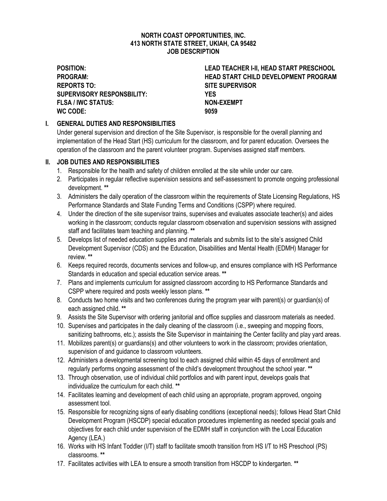#### **NORTH COAST OPPORTUNITIES, INC. 413 NORTH STATE STREET, UKIAH, CA 95482 JOB DESCRIPTION**

**REPORTS TO: SITE SUPERVISOR SUPERVISORY RESPONSBILITY: YES FLSA / IWC STATUS: NON-EXEMPT WC CODE: 9059**

**POSITION: LEAD TEACHER I-II, HEAD START PRESCHOOL PROGRAM: HEAD START CHILD DEVELOPMENT PROGRAM**

#### **I. GENERAL DUTIES AND RESPONSIBILITIES**

Under general supervision and direction of the Site Supervisor, is responsible for the overall planning and implementation of the Head Start (HS) curriculum for the classroom, and for parent education. Oversees the operation of the classroom and the parent volunteer program. Supervises assigned staff members.

#### **II. JOB DUTIES AND RESPONSIBILITIES**

- 1. Responsible for the health and safety of children enrolled at the site while under our care.
- 2. Participates in regular reflective supervision sessions and self-assessment to promote ongoing professional development. **\*\***
- 3. Administers the daily operation of the classroom within the requirements of State Licensing Regulations, HS Performance Standards and State Funding Terms and Conditions (CSPP) where required.
- 4. Under the direction of the site supervisor trains, supervises and evaluates associate teacher(s) and aides working in the classroom; conducts regular classroom observation and supervision sessions with assigned staff and facilitates team teaching and planning. **\*\***
- 5. Develops list of needed education supplies and materials and submits list to the site's assigned Child Development Supervisor (CDS) and the Education, Disabilities and Mental Health (EDMH) Manager for review. **\*\***
- 6. Keeps required records, documents services and follow-up, and ensures compliance with HS Performance Standards in education and special education service areas. **\*\***
- 7. Plans and implements curriculum for assigned classroom according to HS Performance Standards and CSPP where required and posts weekly lesson plans. **\*\***
- 8. Conducts two home visits and two conferences during the program year with parent(s) or guardian(s) of each assigned child. **\*\***
- 9. Assists the Site Supervisor with ordering janitorial and office supplies and classroom materials as needed.
- 10. Supervises and participates in the daily cleaning of the classroom (i.e., sweeping and mopping floors, sanitizing bathrooms, etc.); assists the Site Supervisor in maintaining the Center facility and play yard areas.
- 11. Mobilizes parent(s) or guardians(s) and other volunteers to work in the classroom; provides orientation, supervision of and guidance to classroom volunteers.
- 12. Administers a developmental screening tool to each assigned child within 45 days of enrollment and regularly performs ongoing assessment of the child's development throughout the school year. **\*\***
- 13. Through observation, use of individual child portfolios and with parent input, develops goals that individualize the curriculum for each child. **\*\***
- 14. Facilitates learning and development of each child using an appropriate, program approved, ongoing assessment tool.
- 15. Responsible for recognizing signs of early disabling conditions (exceptional needs); follows Head Start Child Development Program (HSCDP) special education procedures implementing as needed special goals and objectives for each child under supervision of the EDMH staff in conjunction with the Local Education Agency (LEA.)
- 16. Works with HS Infant Toddler (I/T) staff to facilitate smooth transition from HS I/T to HS Preschool (PS) classrooms. **\*\***
- 17. Facilitates activities with LEA to ensure a smooth transition from HSCDP to kindergarten. **\*\***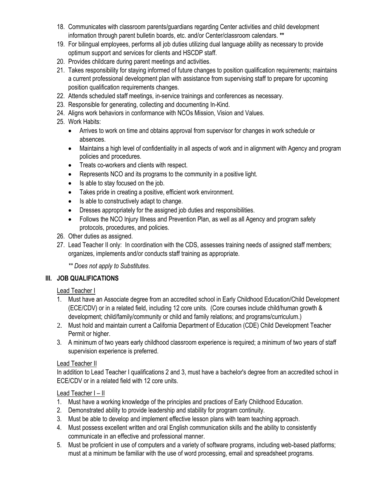- 18. Communicates with classroom parents/guardians regarding Center activities and child development information through parent bulletin boards, etc. and/or Center/classroom calendars. **\*\***
- 19. For bilingual employees, performs all job duties utilizing dual language ability as necessary to provide optimum support and services for clients and HSCDP staff.
- 20. Provides childcare during parent meetings and activities.
- 21. Takes responsibility for staying informed of future changes to position qualification requirements; maintains a current professional development plan with assistance from supervising staff to prepare for upcoming position qualification requirements changes.
- 22. Attends scheduled staff meetings, in-service trainings and conferences as necessary.
- 23. Responsible for generating, collecting and documenting In-Kind.
- 24. Aligns work behaviors in conformance with NCOs Mission, Vision and Values.
- 25. Work Habits:
	- Arrives to work on time and obtains approval from supervisor for changes in work schedule or absences.
	- Maintains a high level of confidentiality in all aspects of work and in alignment with Agency and program policies and procedures.
	- Treats co-workers and clients with respect.
	- Represents NCO and its programs to the community in a positive light.
	- Is able to stay focused on the job.
	- Takes pride in creating a positive, efficient work environment.
	- Is able to constructively adapt to change.
	- Dresses appropriately for the assigned job duties and responsibilities.
	- Follows the NCO Injury Illness and Prevention Plan, as well as all Agency and program safety protocols, procedures, and policies.
- 26. Other duties as assigned.
- 27. Lead Teacher II only: In coordination with the CDS, assesses training needs of assigned staff members; organizes, implements and/or conducts staff training as appropriate.

*\*\* Does not apply to Substitutes.*

## **III. JOB QUALIFICATIONS**

Lead Teacher I

- 1. Must have an Associate degree from an accredited school in Early Childhood Education/Child Development (ECE/CDV) or in a related field, including 12 core units. (Core courses include child/human growth & development; child/family/community or child and family relations; and programs/curriculum.)
- 2. Must hold and maintain current a California Department of Education (CDE) Child Development Teacher Permit or higher.
- 3. A minimum of two years early childhood classroom experience is required; a minimum of two years of staff supervision experience is preferred.

## Lead Teacher II

In addition to Lead Teacher I qualifications 2 and 3, must have a bachelor's degree from an accredited school in ECE/CDV or in a related field with 12 core units.

#### Lead Teacher I – II

- 1. Must have a working knowledge of the principles and practices of Early Childhood Education.
- 2. Demonstrated ability to provide leadership and stability for program continuity.
- 3. Must be able to develop and implement effective lesson plans with team teaching approach.
- 4. Must possess excellent written and oral English communication skills and the ability to consistently communicate in an effective and professional manner.
- 5. Must be proficient in use of computers and a variety of software programs, including web-based platforms; must at a minimum be familiar with the use of word processing, email and spreadsheet programs.